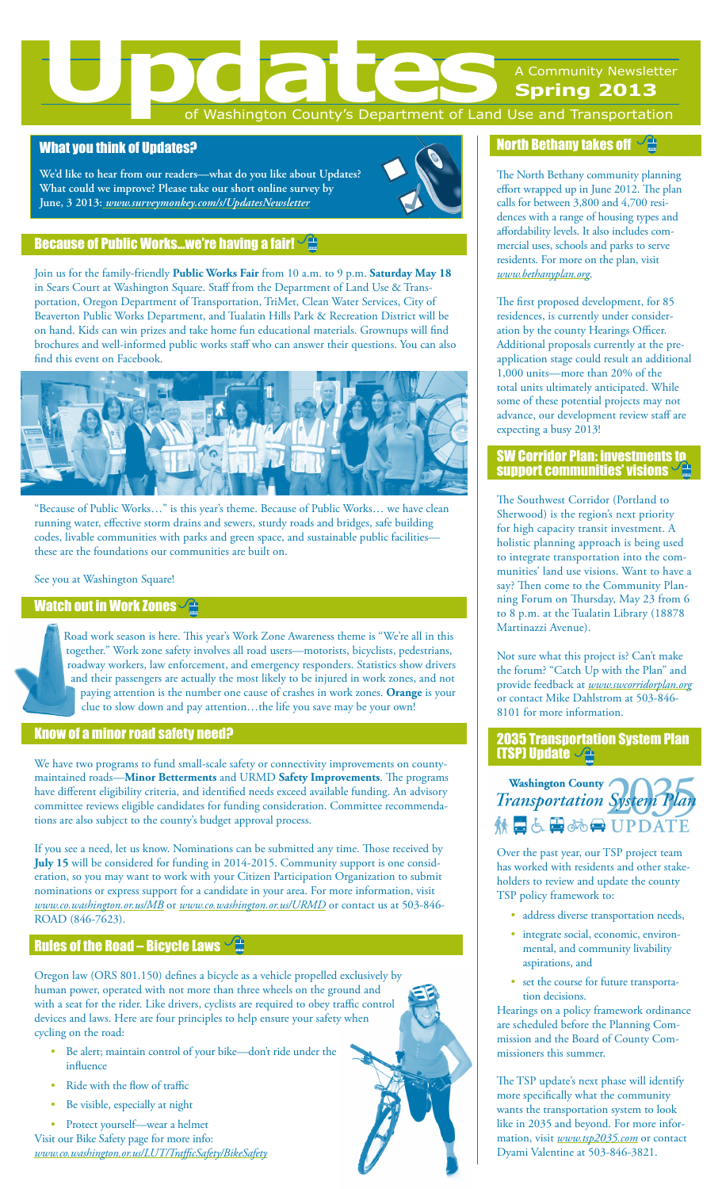# of Washington County's Department of Land Use and Transportation

## What you think of Updates?

**We'd like to hear from our readers—what do you like about Updates? What could we improve? Please take our short online survey by June, 3 2013:** *www.surveymonkey.com/s/UpdatesNewsletter*

## **Because of Public Works...we're having a fair!**  $\sqrt{\frac{4}{16}}$

Join us for the family-friendly **Public Works Fair** from 10 a.m. to 9 p.m. **Saturday May 18** in Sears Court at Washington Square. Staff from the Department of Land Use & Transportation, Oregon Department of Transportation, TriMet, Clean Water Services, City of Beaverton Public Works Department, and Tualatin Hills Park & Recreation District will be on hand. Kids can win prizes and take home fun educational materials. Grownups will find brochures and well-informed public works staff who can answer their questions. You can also find this event on Facebook.



"Because of Public Works…" is this year's theme. Because of Public Works… we have clean running water, effective storm drains and sewers, sturdy roads and bridges, safe building codes, livable communities with parks and green space, and sustainable public facilitiesthese are the foundations our communities are built on.

## See you at Washington Square!

## Watch out in Work Zones $\sqrt{\triangle}$

Road work season is here. This year's Work Zone Awareness theme is "We're all in this together." Work zone safety involves all road users—motorists, bicyclists, pedestrians, roadway workers, law enforcement, and emergency responders. Statistics show drivers and their passengers are actually the most likely to be injured in work zones, and not paying attention is the number one cause of crashes in work zones. **Orange** is your clue to slow down and pay attention…the life you save may be your own!

## Know of a minor road safety need?

We have two programs to fund small-scale safety or connectivity improvements on countymaintained roads—**Minor Betterments** and URMD **Safety Improvements**. The programs have different eligibility criteria, and identified needs exceed available funding. An advisory committee reviews eligible candidates for funding consideration. Committee recommendations are also subject to the county's budget approval process.

If you see a need, let us know. Nominations can be submitted any time. Those received by **July 15** will be considered for funding in 2014-2015. Community support is one consideration, so you may want to work with your Citizen Participation Organization to submit nominations or express support for a candidate in your area. For more information, visit *www.co.washington.or.us/MB* or *www.co.washington.or.us/URMD* or contact us at 503-846- ROAD (846-7623).

# [Rules of the Road – Bicycle Laws](www.co.washington.or.us/LUT/TrafficSafety/BikeSafety)

Oregon law (ORS 801.150) defines a bicycle as a vehicle propelled exclusively by human power, operated with not more than three wheels on the ground and with a seat for the rider. Like drivers, cyclists are required to obey traffic control devices and laws. Here are four principles to help ensure your safety when cycling on the road:

- Be alert; maintain control of your bike—don't ride under the influence
- Ride with the flow of traffic
- Be visible, especially at night

Protect yourself—wear a helmet Visit our Bike Safety page for more info: *www.co.washington.or.us/LUT/TrafficSafety/BikeSafety*



# **[North Bethany takes off](http://www.bethanyplan.org/)**  $\sqrt{\frac{4}{m}}$

The North Bethany community planning effort wrapped up in June 2012. The plan calls for between 3,800 and 4,700 residences with a range of housing types and affordability levels. It also includes commercial uses, schools and parks to serve residents. For more on the plan, visit *www.bethanyplan.org*.

The first proposed development, for 85 residences, is currently under consideration by the county Hearings Officer. Additional proposals currently at the preapplication stage could result an additional 1,000 units—more than 20% of the total units ultimately anticipated. While some of these potential projects may not advance, our development review staff are expecting a busy 2013!

## [SW Corridor Plan: investments to](www.swcorridorplan.org)  [support communities' visions](www.swcorridorplan.org)  $\backsim$

The Southwest Corridor (Portland to Sherwood) is the region's next priority for high capacity transit investment. A holistic planning approach is being used to integrate transportation into the communities' land use visions. Want to have a say? Then come to the Community Planning Forum on Thursday, May 23 from 6 to 8 p.m. at the Tualatin Library (18878 Martinazzi Avenue).

Not sure what this project is? Can't make the forum? "Catch Up with the Plan" and provide feedback at *www.swcorridorplan.org* or contact Mike Dahlstrom at 503-846- 8101 for more information.

## [2035 Transportation System Plan](www.tsp2035.com)  **[\(TSP\) Update](www.tsp2035.com)**  $\sqrt{2\pi}$



Over the past year, our TSP project team has worked with residents and other stakeholders to review and update the county TSP policy framework to:

- • address diverse transportation needs,
- • integrate social, economic, environmental, and community livability aspirations, and
- • set the course for future transportation decisions.

Hearings on a policy framework ordinance are scheduled before the Planning Commission and the Board of County Commissioners this summer.

The TSP update's next phase will identify more specifically what the community wants the transportation system to look like in 2035 and beyond. For more information, visit *www.tsp2035.com* or contact Dyami Valentine at 503-846-3821.